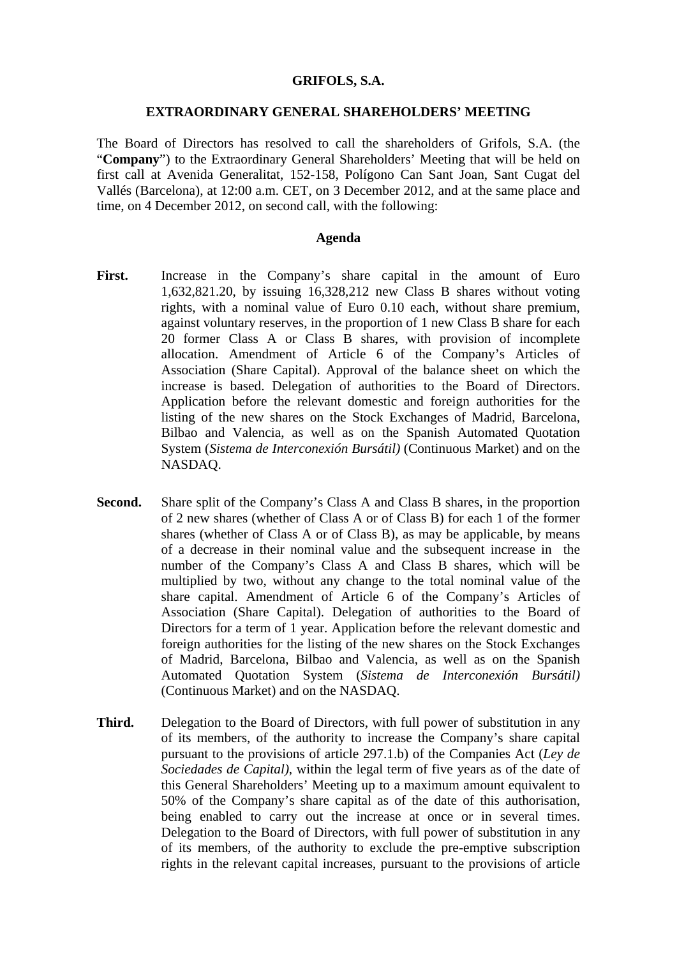### **GRIFOLS, S.A.**

#### **EXTRAORDINARY GENERAL SHAREHOLDERS' MEETING**

The Board of Directors has resolved to call the shareholders of Grifols, S.A. (the "**Company**") to the Extraordinary General Shareholders' Meeting that will be held on first call at Avenida Generalitat, 152-158, Polígono Can Sant Joan, Sant Cugat del Vallés (Barcelona), at 12:00 a.m. CET, on 3 December 2012, and at the same place and time, on 4 December 2012, on second call, with the following:

#### **Agenda**

- First. Increase in the Company's share capital in the amount of Euro 1,632,821.20, by issuing 16,328,212 new Class B shares without voting rights, with a nominal value of Euro 0.10 each, without share premium, against voluntary reserves, in the proportion of 1 new Class B share for each 20 former Class A or Class B shares, with provision of incomplete allocation. Amendment of Article 6 of the Company's Articles of Association (Share Capital). Approval of the balance sheet on which the increase is based. Delegation of authorities to the Board of Directors. Application before the relevant domestic and foreign authorities for the listing of the new shares on the Stock Exchanges of Madrid, Barcelona, Bilbao and Valencia, as well as on the Spanish Automated Quotation System (*Sistema de Interconexión Bursátil)* (Continuous Market) and on the NASDAQ.
- **Second.** Share split of the Company's Class A and Class B shares, in the proportion of 2 new shares (whether of Class A or of Class B) for each 1 of the former shares (whether of Class A or of Class B), as may be applicable, by means of a decrease in their nominal value and the subsequent increase in the number of the Company's Class A and Class B shares, which will be multiplied by two, without any change to the total nominal value of the share capital. Amendment of Article 6 of the Company's Articles of Association (Share Capital). Delegation of authorities to the Board of Directors for a term of 1 year. Application before the relevant domestic and foreign authorities for the listing of the new shares on the Stock Exchanges of Madrid, Barcelona, Bilbao and Valencia, as well as on the Spanish Automated Quotation System (*Sistema de Interconexión Bursátil)* (Continuous Market) and on the NASDAQ.
- **Third.** Delegation to the Board of Directors, with full power of substitution in any of its members, of the authority to increase the Company's share capital pursuant to the provisions of article 297.1.b) of the Companies Act (*Ley de Sociedades de Capital)*, within the legal term of five years as of the date of this General Shareholders' Meeting up to a maximum amount equivalent to 50% of the Company's share capital as of the date of this authorisation, being enabled to carry out the increase at once or in several times. Delegation to the Board of Directors, with full power of substitution in any of its members, of the authority to exclude the pre-emptive subscription rights in the relevant capital increases, pursuant to the provisions of article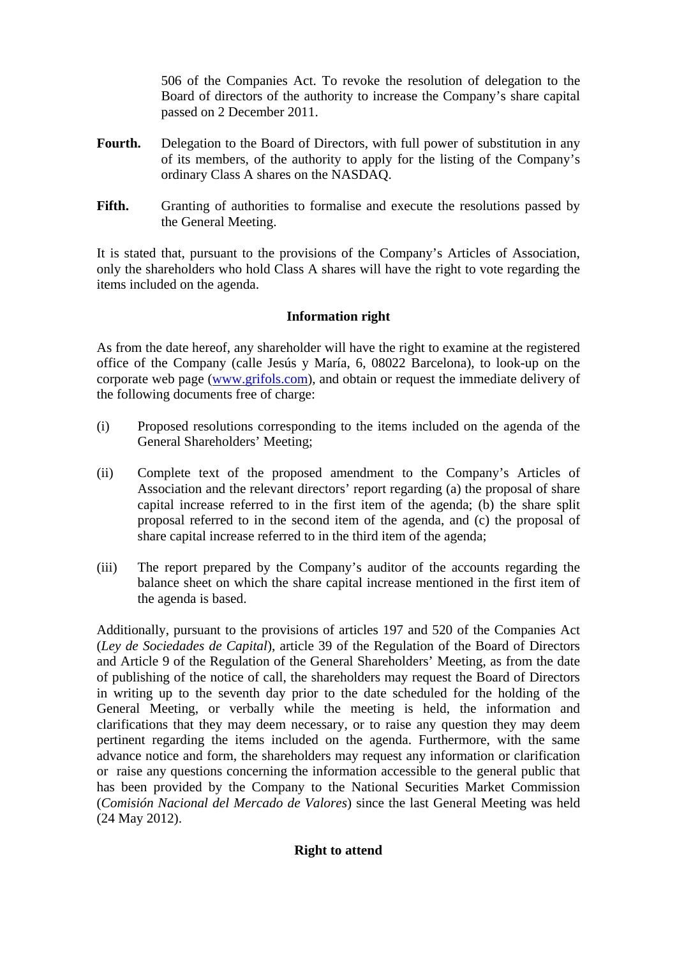506 of the Companies Act. To revoke the resolution of delegation to the Board of directors of the authority to increase the Company's share capital passed on 2 December 2011.

- Fourth. Delegation to the Board of Directors, with full power of substitution in any of its members, of the authority to apply for the listing of the Company's ordinary Class A shares on the NASDAQ.
- Fifth. Granting of authorities to formalise and execute the resolutions passed by the General Meeting.

It is stated that, pursuant to the provisions of the Company's Articles of Association, only the shareholders who hold Class A shares will have the right to vote regarding the items included on the agenda.

# **Information right**

As from the date hereof, any shareholder will have the right to examine at the registered office of the Company (calle Jesús y María, 6, 08022 Barcelona), to look-up on the corporate web page ([www.grifols.com\)](http://www.grifols.com/), and obtain or request the immediate delivery of the following documents free of charge:

- (i) Proposed resolutions corresponding to the items included on the agenda of the General Shareholders' Meeting;
- (ii) Complete text of the proposed amendment to the Company's Articles of Association and the relevant directors' report regarding (a) the proposal of share capital increase referred to in the first item of the agenda; (b) the share split proposal referred to in the second item of the agenda, and (c) the proposal of share capital increase referred to in the third item of the agenda;
- (iii) The report prepared by the Company's auditor of the accounts regarding the balance sheet on which the share capital increase mentioned in the first item of the agenda is based.

Additionally, pursuant to the provisions of articles 197 and 520 of the Companies Act (*Ley de Sociedades de Capital*), article 39 of the Regulation of the Board of Directors and Article 9 of the Regulation of the General Shareholders' Meeting, as from the date of publishing of the notice of call, the shareholders may request the Board of Directors in writing up to the seventh day prior to the date scheduled for the holding of the General Meeting, or verbally while the meeting is held, the information and clarifications that they may deem necessary, or to raise any question they may deem pertinent regarding the items included on the agenda. Furthermore, with the same advance notice and form, the shareholders may request any information or clarification or raise any questions concerning the information accessible to the general public that has been provided by the Company to the National Securities Market Commission (*Comisión Nacional del Mercado de Valores*) since the last General Meeting was held (24 May 2012).

## **Right to attend**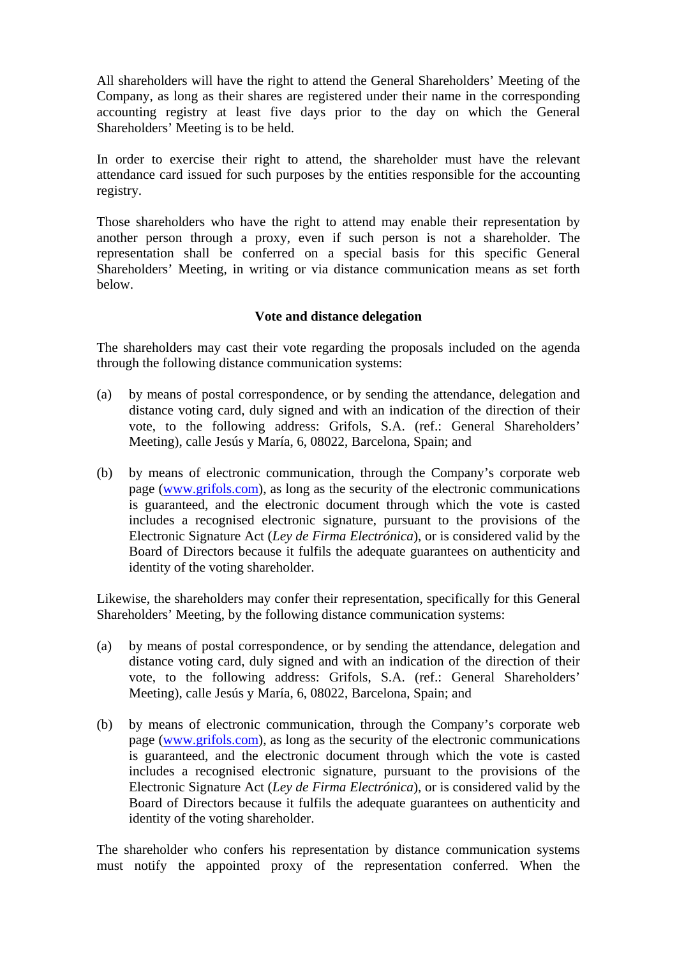All shareholders will have the right to attend the General Shareholders' Meeting of the Company, as long as their shares are registered under their name in the corresponding accounting registry at least five days prior to the day on which the General Shareholders' Meeting is to be held.

In order to exercise their right to attend, the shareholder must have the relevant attendance card issued for such purposes by the entities responsible for the accounting registry.

Those shareholders who have the right to attend may enable their representation by another person through a proxy, even if such person is not a shareholder. The representation shall be conferred on a special basis for this specific General Shareholders' Meeting, in writing or via distance communication means as set forth below.

# **Vote and distance delegation**

The shareholders may cast their vote regarding the proposals included on the agenda through the following distance communication systems:

- (a) by means of postal correspondence, or by sending the attendance, delegation and distance voting card, duly signed and with an indication of the direction of their vote, to the following address: Grifols, S.A. (ref.: General Shareholders' Meeting), calle Jesús y María, 6, 08022, Barcelona, Spain; and
- (b) by means of electronic communication, through the Company's corporate web page ([www.grifols.com\)](http://www.grifols.com/), as long as the security of the electronic communications is guaranteed, and the electronic document through which the vote is casted includes a recognised electronic signature, pursuant to the provisions of the Electronic Signature Act (*Ley de Firma Electrónica*), or is considered valid by the Board of Directors because it fulfils the adequate guarantees on authenticity and identity of the voting shareholder.

Likewise, the shareholders may confer their representation, specifically for this General Shareholders' Meeting, by the following distance communication systems:

- (a) by means of postal correspondence, or by sending the attendance, delegation and distance voting card, duly signed and with an indication of the direction of their vote, to the following address: Grifols, S.A. (ref.: General Shareholders' Meeting), calle Jesús y María, 6, 08022, Barcelona, Spain; and
- (b) by means of electronic communication, through the Company's corporate web page ([www.grifols.com\)](http://www.grifols.com/), as long as the security of the electronic communications is guaranteed, and the electronic document through which the vote is casted includes a recognised electronic signature, pursuant to the provisions of the Electronic Signature Act (*Ley de Firma Electrónica*), or is considered valid by the Board of Directors because it fulfils the adequate guarantees on authenticity and identity of the voting shareholder.

The shareholder who confers his representation by distance communication systems must notify the appointed proxy of the representation conferred. When the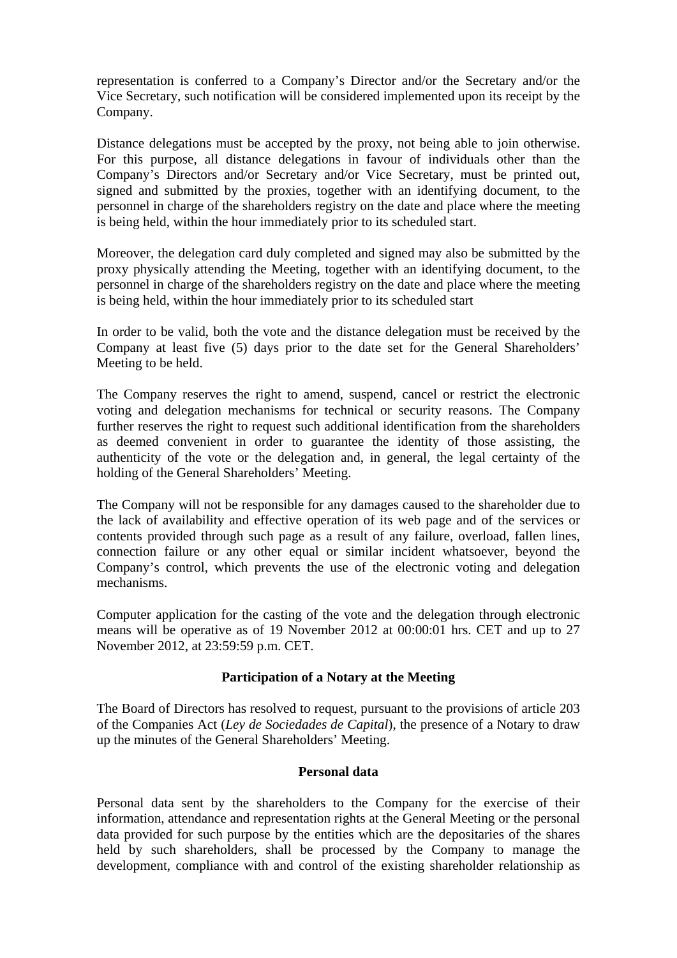representation is conferred to a Company's Director and/or the Secretary and/or the Vice Secretary, such notification will be considered implemented upon its receipt by the Company.

Distance delegations must be accepted by the proxy, not being able to join otherwise. For this purpose, all distance delegations in favour of individuals other than the Company's Directors and/or Secretary and/or Vice Secretary, must be printed out, signed and submitted by the proxies, together with an identifying document, to the personnel in charge of the shareholders registry on the date and place where the meeting is being held, within the hour immediately prior to its scheduled start.

Moreover, the delegation card duly completed and signed may also be submitted by the proxy physically attending the Meeting, together with an identifying document, to the personnel in charge of the shareholders registry on the date and place where the meeting is being held, within the hour immediately prior to its scheduled start

In order to be valid, both the vote and the distance delegation must be received by the Company at least five (5) days prior to the date set for the General Shareholders' Meeting to be held.

The Company reserves the right to amend, suspend, cancel or restrict the electronic voting and delegation mechanisms for technical or security reasons. The Company further reserves the right to request such additional identification from the shareholders as deemed convenient in order to guarantee the identity of those assisting, the authenticity of the vote or the delegation and, in general, the legal certainty of the holding of the General Shareholders' Meeting.

The Company will not be responsible for any damages caused to the shareholder due to the lack of availability and effective operation of its web page and of the services or contents provided through such page as a result of any failure, overload, fallen lines, connection failure or any other equal or similar incident whatsoever, beyond the Company's control, which prevents the use of the electronic voting and delegation mechanisms.

Computer application for the casting of the vote and the delegation through electronic means will be operative as of 19 November 2012 at 00:00:01 hrs. CET and up to 27 November 2012, at 23:59:59 p.m. CET.

## **Participation of a Notary at the Meeting**

The Board of Directors has resolved to request, pursuant to the provisions of article 203 of the Companies Act (*Ley de Sociedades de Capital*), the presence of a Notary to draw up the minutes of the General Shareholders' Meeting.

## **Personal data**

Personal data sent by the shareholders to the Company for the exercise of their information, attendance and representation rights at the General Meeting or the personal data provided for such purpose by the entities which are the depositaries of the shares held by such shareholders, shall be processed by the Company to manage the development, compliance with and control of the existing shareholder relationship as